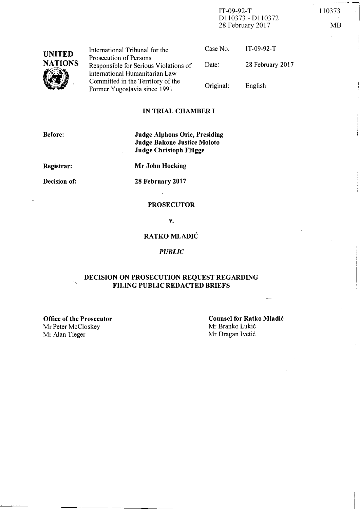IT-09-92-T 110373 D110373 - D110372 28 February 2017 MB

| <b>UNITED</b>  | International Tribunal for the                                                                      | Case No.  | $IT-09-92-T$     |
|----------------|-----------------------------------------------------------------------------------------------------|-----------|------------------|
| <b>NATIONS</b> | Prosecution of Persons<br>Responsible for Serious Violations of                                     | Date:     | 28 February 2017 |
|                | International Humanitarian Law<br>Committed in the Territory of the<br>Former Yugoslavia since 1991 | Original: | English          |

## IN TRIAL CHAMBER I

Before:

# Judge Alphons Orie, Presiding Judge Bakone Justice Moloto Judge Christoph Fliigge

Registrar:

Mr John Hocking

Decision of:

28 February 2017  $\ddot{\phantom{a}}$ 

## **PROSECUTOR**

v.

# RATKO MLADIC

#### **PUBLIC**

## DECISION ON PROSECUTION REQUEST REGARDING FILING PUBLIC REDACTED BRIEFS

Office of the Prosecutor Mr Peter McCloskey Mr Alan Tieger Mr Dragan I vetić

Counsel for Ratko Mladic Mr Branko Lukić